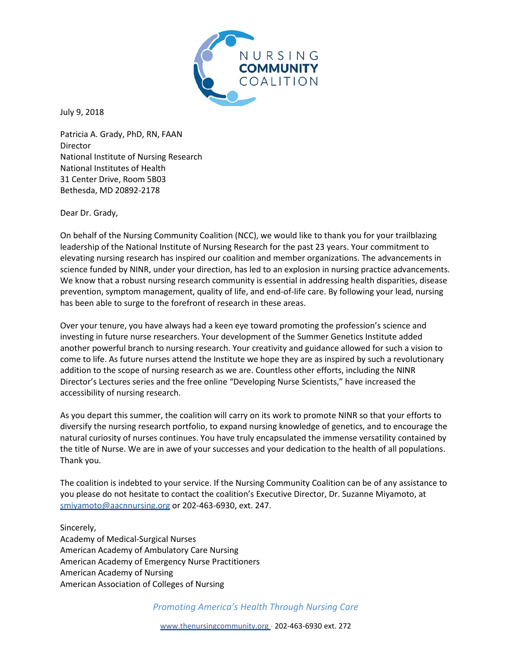

July 9, 2018

Patricia A. Grady, PhD, RN, FAAN Director National Institute of Nursing Research National Institutes of Health 31 Center Drive, Room 5B03 Bethesda, MD 20892-2178

Dear Dr. Grady,

On behalf of the Nursing Community Coalition (NCC), we would like to thank you for your trailblazing leadership of the National Institute of Nursing Research for the past 23 years. Your commitment to elevating nursing research has inspired our coalition and member organizations. The advancements in science funded by NINR, under your direction, has led to an explosion in nursing practice advancements. We know that a robust nursing research community is essential in addressing health disparities, disease prevention, symptom management, quality of life, and end-of-life care. By following your lead, nursing has been able to surge to the forefront of research in these areas.

Over your tenure, you have always had a keen eye toward promoting the profession's science and investing in future nurse researchers. Your development of the Summer Genetics Institute added another powerful branch to nursing research. Your creativity and guidance allowed for such a vision to come to life. As future nurses attend the Institute we hope they are as inspired by such a revolutionary addition to the scope of nursing research as we are. Countless other efforts, including the NINR Director's Lectures series and the free online "Developing Nurse Scientists," have increased the accessibility of nursing research.

As you depart this summer, the coalition will carry on its work to promote NINR so that your efforts to diversify the nursing research portfolio, to expand nursing knowledge of genetics, and to encourage the natural curiosity of nurses continues. You have truly encapsulated the immense versatility contained by the title of Nurse. We are in awe of your successes and your dedication to the health of all populations. Thank you.

The coalition is indebted to your service. If the Nursing Community Coalition can be of any assistance to you please do not hesitate to contact the coalition's Executive Director, Dr. Suzanne Miyamoto, at smiyamoto@aacnnursing.org or 202-463-6930, ext. 247.

Sincerely, Academy of Medical-Surgical Nurses American Academy of Ambulatory Care Nursing American Academy of Emergency Nurse Practitioners American Academy of Nursing American Association of Colleges of Nursing

*Promoting America's Health Through Nursing Care*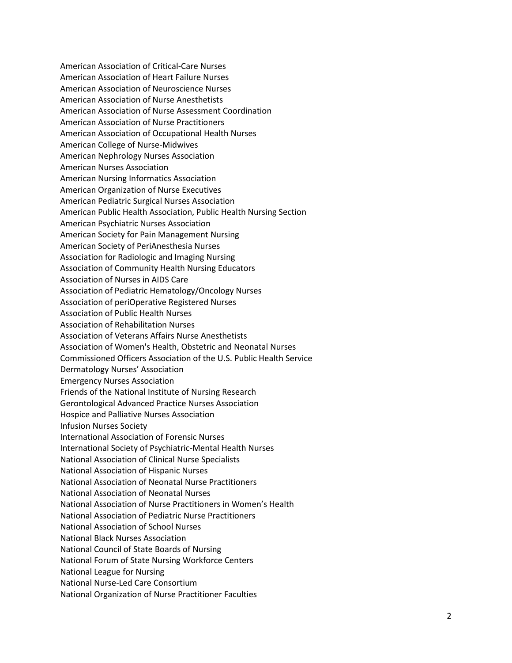American Association of Critical-Care Nurses American Association of Heart Failure Nurses American Association of Neuroscience Nurses American Association of Nurse Anesthetists American Association of Nurse Assessment Coordination American Association of Nurse Practitioners American Association of Occupational Health Nurses American College of Nurse-Midwives American Nephrology Nurses Association American Nurses Association American Nursing Informatics Association American Organization of Nurse Executives American Pediatric Surgical Nurses Association American Public Health Association, Public Health Nursing Section American Psychiatric Nurses Association American Society for Pain Management Nursing American Society of PeriAnesthesia Nurses Association for Radiologic and Imaging Nursing Association of Community Health Nursing Educators Association of Nurses in AIDS Care Association of Pediatric Hematology/Oncology Nurses Association of periOperative Registered Nurses Association of Public Health Nurses Association of Rehabilitation Nurses Association of Veterans Affairs Nurse Anesthetists Association of Women's Health, Obstetric and Neonatal Nurses Commissioned Officers Association of the U.S. Public Health Service Dermatology Nurses' Association Emergency Nurses Association Friends of the National Institute of Nursing Research Gerontological Advanced Practice Nurses Association Hospice and Palliative Nurses Association Infusion Nurses Society International Association of Forensic Nurses International Society of Psychiatric-Mental Health Nurses National Association of Clinical Nurse Specialists National Association of Hispanic Nurses National Association of Neonatal Nurse Practitioners National Association of Neonatal Nurses National Association of Nurse Practitioners in Women's Health National Association of Pediatric Nurse Practitioners National Association of School Nurses National Black Nurses Association National Council of State Boards of Nursing National Forum of State Nursing Workforce Centers National League for Nursing National Nurse-Led Care Consortium National Organization of Nurse Practitioner Faculties